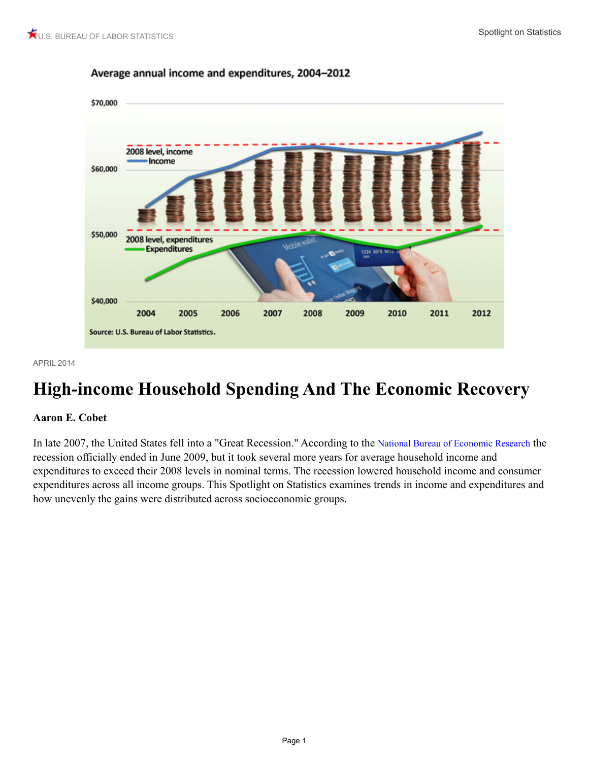

#### Average annual income and expenditures, 2004-2012

APRIL 2014

# **High-income Household Spending And The Economic Recovery**

#### **Aaron E. Cobet**

In late 2007, the United States fell into a "Great Recession." According to the [National Bureau of Economic Research](http://www.nber.org/cycles/cyclesmain.html) the recession officially ended in June 2009, but it took several more years for average household income and expenditures to exceed their 2008 levels in nominal terms. The recession lowered household income and consumer expenditures across all income groups. This Spotlight on Statistics examines trends in income and expenditures and how unevenly the gains were distributed across socioeconomic groups.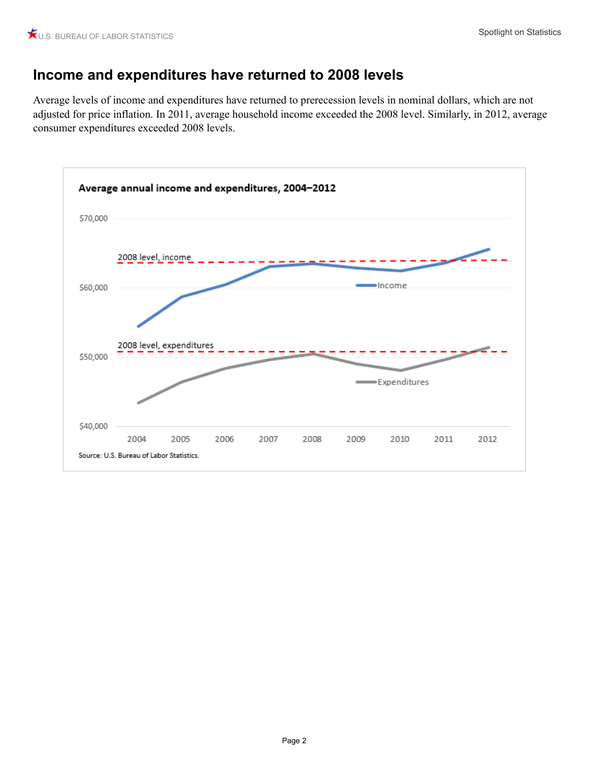### **Income and expenditures have returned to 2008 levels**

Average levels of income and expenditures have returned to prerecession levels in nominal dollars, which are not adjusted for price inflation. In 2011, average household income exceeded the 2008 level. Similarly, in 2012, average consumer expenditures exceeded 2008 levels.

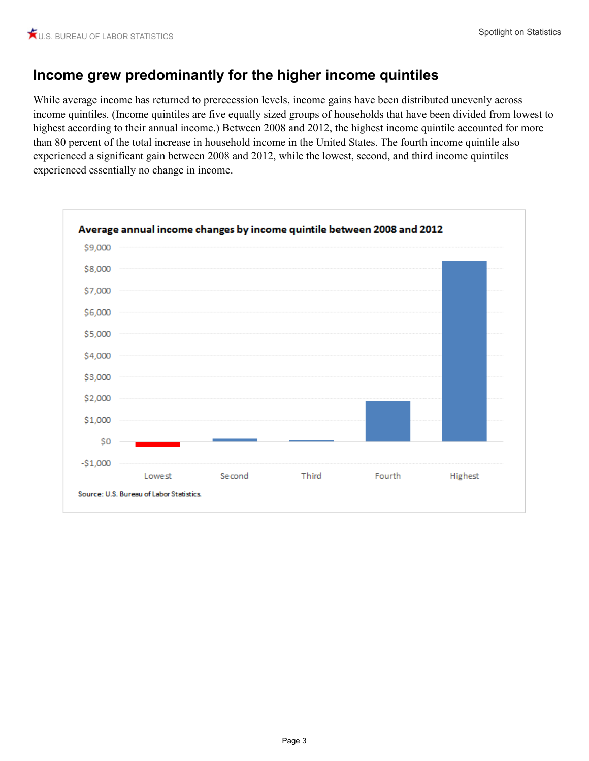# **Income grew predominantly for the higher income quintiles**

While average income has returned to prerecession levels, income gains have been distributed unevenly across income quintiles. (Income quintiles are five equally sized groups of households that have been divided from lowest to highest according to their annual income.) Between 2008 and 2012, the highest income quintile accounted for more than 80 percent of the total increase in household income in the United States. The fourth income quintile also experienced a significant gain between 2008 and 2012, while the lowest, second, and third income quintiles experienced essentially no change in income.

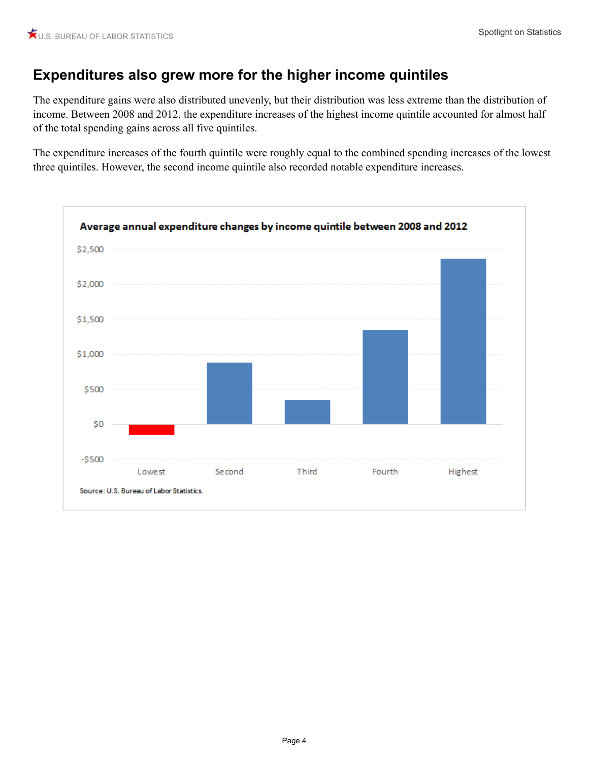# **Expenditures also grew more for the higher income quintiles**

The expenditure gains were also distributed unevenly, but their distribution was less extreme than the distribution of income. Between 2008 and 2012, the expenditure increases of the highest income quintile accounted for almost half of the total spending gains across all five quintiles.

The expenditure increases of the fourth quintile were roughly equal to the combined spending increases of the lowest three quintiles. However, the second income quintile also recorded notable expenditure increases.

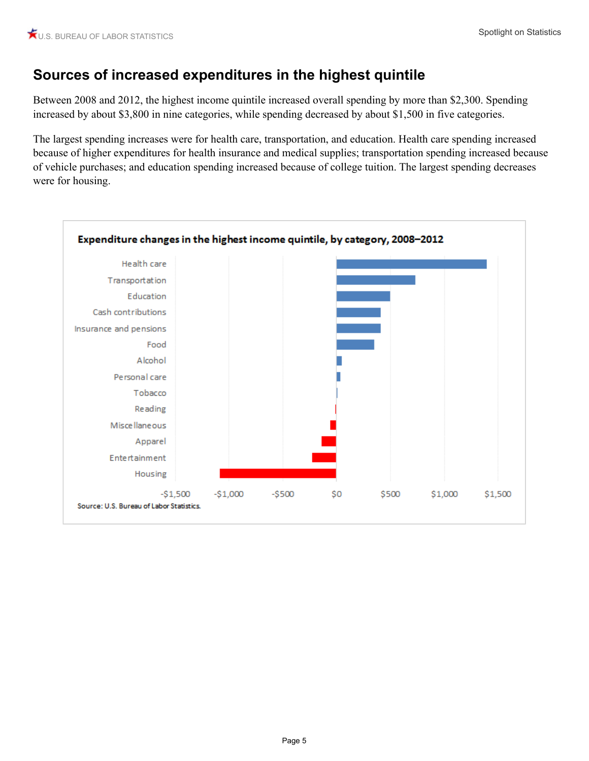## **Sources of increased expenditures in the highest quintile**

Between 2008 and 2012, the highest income quintile increased overall spending by more than \$2,300. Spending increased by about \$3,800 in nine categories, while spending decreased by about \$1,500 in five categories.

The largest spending increases were for health care, transportation, and education. Health care spending increased because of higher expenditures for health insurance and medical supplies; transportation spending increased because of vehicle purchases; and education spending increased because of college tuition. The largest spending decreases were for housing.

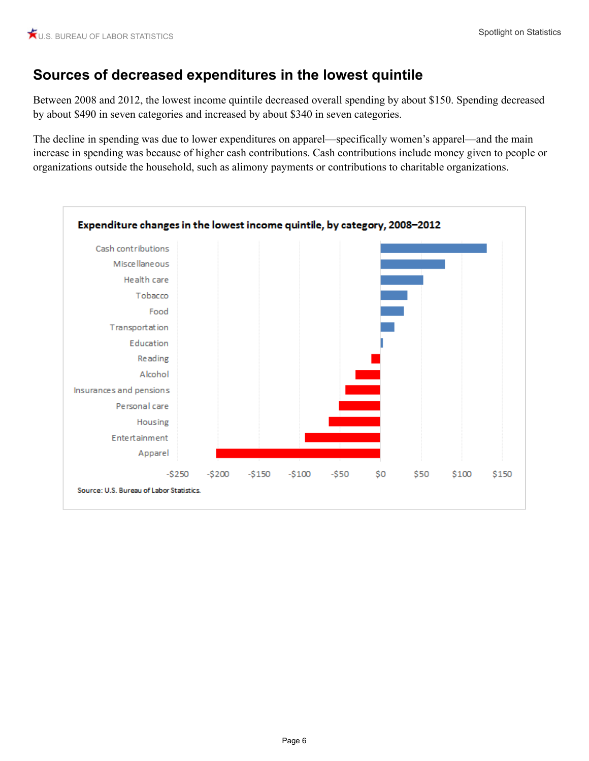### **Sources of decreased expenditures in the lowest quintile**

Between 2008 and 2012, the lowest income quintile decreased overall spending by about \$150. Spending decreased by about \$490 in seven categories and increased by about \$340 in seven categories.

The decline in spending was due to lower expenditures on apparel—specifically women's apparel—and the main increase in spending was because of higher cash contributions. Cash contributions include money given to people or organizations outside the household, such as alimony payments or contributions to charitable organizations.

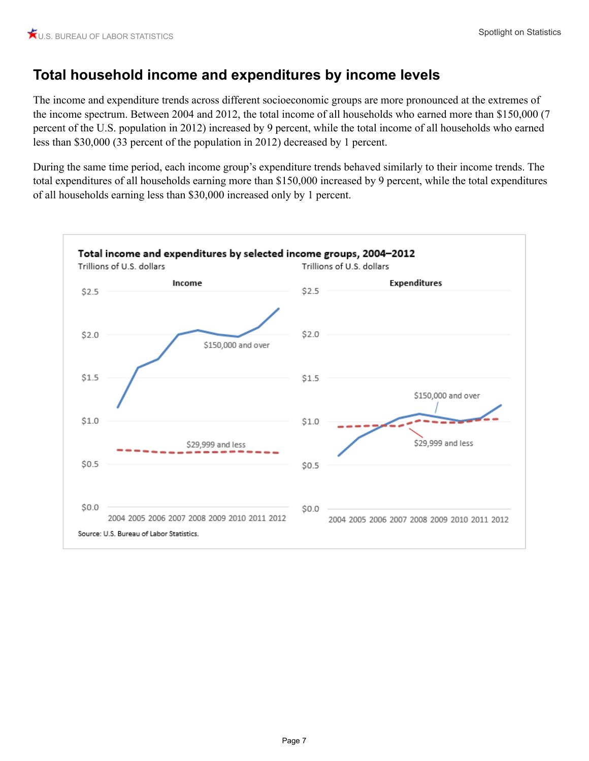# **Total household income and expenditures by income levels**

The income and expenditure trends across different socioeconomic groups are more pronounced at the extremes of the income spectrum. Between 2004 and 2012, the total income of all households who earned more than \$150,000 (7 percent of the U.S. population in 2012) increased by 9 percent, while the total income of all households who earned less than \$30,000 (33 percent of the population in 2012) decreased by 1 percent.

During the same time period, each income group's expenditure trends behaved similarly to their income trends. The total expenditures of all households earning more than \$150,000 increased by 9 percent, while the total expenditures of all households earning less than \$30,000 increased only by 1 percent.